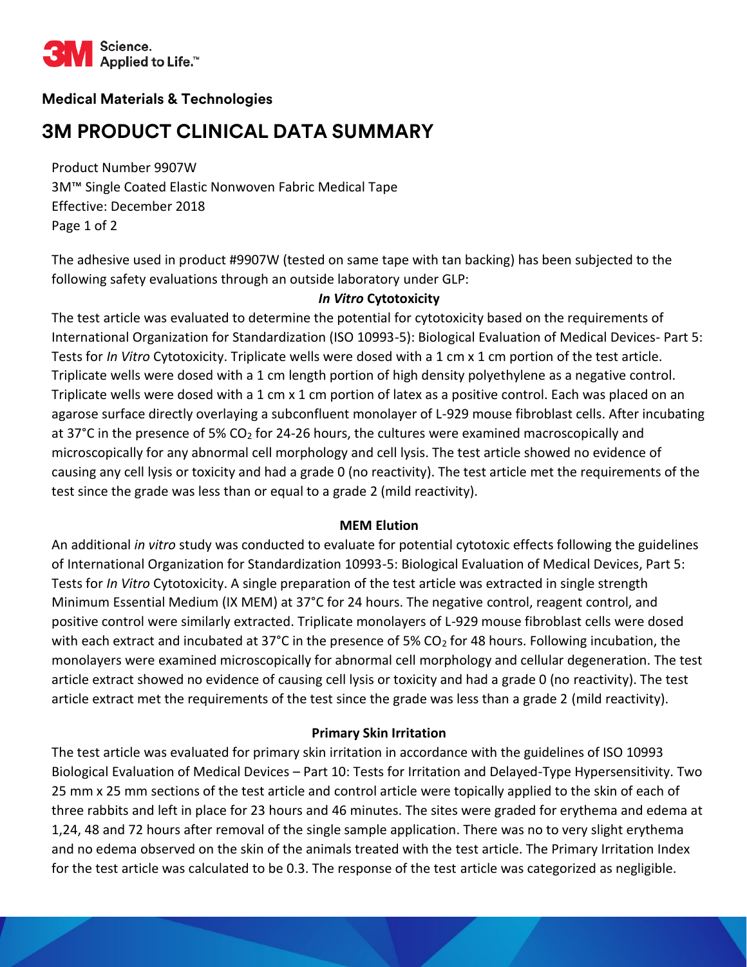

# **Medical Materials & Technologies**

# **3M PRODUCT CLINICAL DATA SUMMARY**

Product Number 9907W 3M™ Single Coated Elastic Nonwoven Fabric Medical Tape Effective: December 2018 Page 1 of 2

The adhesive used in product #9907W (tested on same tape with tan backing) has been subjected to the following safety evaluations through an outside laboratory under GLP:

## *In Vitro* **Cytotoxicity**

The test article was evaluated to determine the potential for cytotoxicity based on the requirements of International Organization for Standardization (ISO 10993-5): Biological Evaluation of Medical Devices- Part 5: Tests for *In Vitro* Cytotoxicity. Triplicate wells were dosed with a 1 cm x 1 cm portion of the test article. Triplicate wells were dosed with a 1 cm length portion of high density polyethylene as a negative control. Triplicate wells were dosed with a 1 cm x 1 cm portion of latex as a positive control. Each was placed on an agarose surface directly overlaying a subconfluent monolayer of L-929 mouse fibroblast cells. After incubating at 37 $^{\circ}$ C in the presence of 5% CO<sub>2</sub> for 24-26 hours, the cultures were examined macroscopically and microscopically for any abnormal cell morphology and cell lysis. The test article showed no evidence of causing any cell lysis or toxicity and had a grade 0 (no reactivity). The test article met the requirements of the test since the grade was less than or equal to a grade 2 (mild reactivity).

#### **MEM Elution**

An additional *in vitro* study was conducted to evaluate for potential cytotoxic effects following the guidelines of International Organization for Standardization 10993-5: Biological Evaluation of Medical Devices, Part 5: Tests for *In Vitro* Cytotoxicity. A single preparation of the test article was extracted in single strength Minimum Essential Medium (IX MEM) at 37°C for 24 hours. The negative control, reagent control, and positive control were similarly extracted. Triplicate monolayers of L-929 mouse fibroblast cells were dosed with each extract and incubated at 37°C in the presence of 5% CO<sub>2</sub> for 48 hours. Following incubation, the monolayers were examined microscopically for abnormal cell morphology and cellular degeneration. The test article extract showed no evidence of causing cell lysis or toxicity and had a grade 0 (no reactivity). The test article extract met the requirements of the test since the grade was less than a grade 2 (mild reactivity).

# **Primary Skin Irritation**

The test article was evaluated for primary skin irritation in accordance with the guidelines of ISO 10993 Biological Evaluation of Medical Devices – Part 10: Tests for Irritation and Delayed-Type Hypersensitivity. Two 25 mm x 25 mm sections of the test article and control article were topically applied to the skin of each of three rabbits and left in place for 23 hours and 46 minutes. The sites were graded for erythema and edema at 1,24, 48 and 72 hours after removal of the single sample application. There was no to very slight erythema and no edema observed on the skin of the animals treated with the test article. The Primary Irritation Index for the test article was calculated to be 0.3. The response of the test article was categorized as negligible.